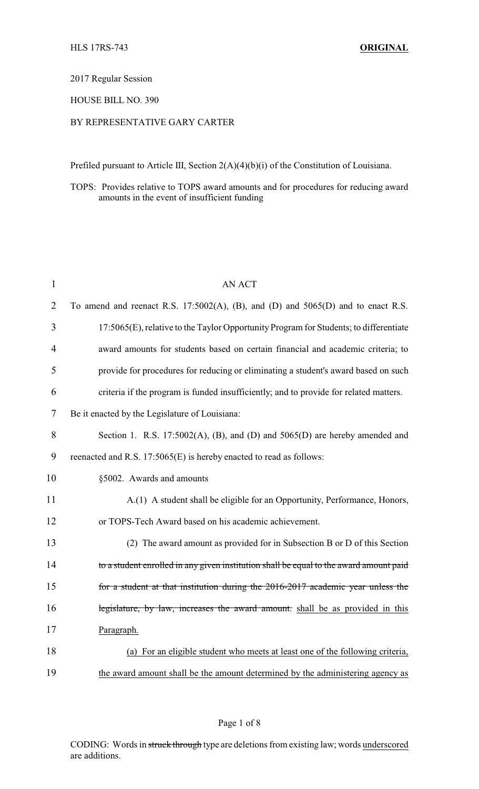### 2017 Regular Session

### HOUSE BILL NO. 390

# BY REPRESENTATIVE GARY CARTER

Prefiled pursuant to Article III, Section 2(A)(4)(b)(i) of the Constitution of Louisiana.

### TOPS: Provides relative to TOPS award amounts and for procedures for reducing award amounts in the event of insufficient funding

| $\mathbf{1}$   | <b>AN ACT</b>                                                                          |
|----------------|----------------------------------------------------------------------------------------|
| $\overline{2}$ | To amend and reenact R.S. 17:5002(A), (B), and (D) and 5065(D) and to enact R.S.       |
| 3              | 17:5065(E), relative to the Taylor Opportunity Program for Students; to differentiate  |
| 4              | award amounts for students based on certain financial and academic criteria; to        |
| 5              | provide for procedures for reducing or eliminating a student's award based on such     |
| 6              | criteria if the program is funded insufficiently; and to provide for related matters.  |
| 7              | Be it enacted by the Legislature of Louisiana:                                         |
| 8              | Section 1. R.S. 17:5002(A), (B), and (D) and 5065(D) are hereby amended and            |
| 9              | reenacted and R.S. 17:5065(E) is hereby enacted to read as follows:                    |
| 10             | §5002. Awards and amounts                                                              |
| 11             | A.(1) A student shall be eligible for an Opportunity, Performance, Honors,             |
| 12             | or TOPS-Tech Award based on his academic achievement.                                  |
| 13             | (2) The award amount as provided for in Subsection B or D of this Section              |
| 14             | to a student enrolled in any given institution shall be equal to the award amount paid |
| 15             | for a student at that institution during the 2016-2017 academic year unless the        |
| 16             | legislature, by law, increases the award amount. shall be as provided in this          |
| 17             | Paragraph.                                                                             |
| 18             | (a) For an eligible student who meets at least one of the following criteria,          |
| 19             | the award amount shall be the amount determined by the administering agency as         |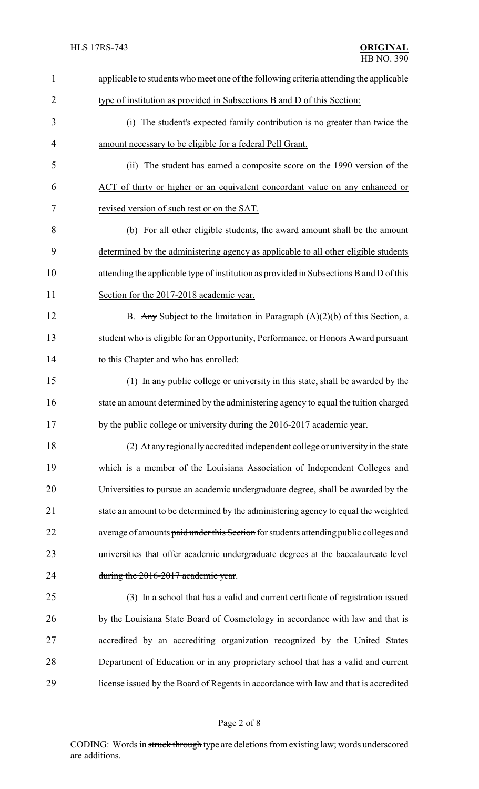| $\mathbf{1}$   | applicable to students who meet one of the following criteria attending the applicable  |
|----------------|-----------------------------------------------------------------------------------------|
| $\overline{2}$ | type of institution as provided in Subsections B and D of this Section:                 |
| 3              | The student's expected family contribution is no greater than twice the<br>(i)          |
| 4              | amount necessary to be eligible for a federal Pell Grant.                               |
| 5              | The student has earned a composite score on the 1990 version of the<br>(i)              |
| 6              | ACT of thirty or higher or an equivalent concordant value on any enhanced or            |
| 7              | revised version of such test or on the SAT.                                             |
| 8              | (b) For all other eligible students, the award amount shall be the amount               |
| 9              | determined by the administering agency as applicable to all other eligible students     |
| 10             | attending the applicable type of institution as provided in Subsections B and D of this |
| 11             | Section for the 2017-2018 academic year.                                                |
| 12             | B. Any Subject to the limitation in Paragraph $(A)(2)(b)$ of this Section, a            |
| 13             | student who is eligible for an Opportunity, Performance, or Honors Award pursuant       |
| 14             | to this Chapter and who has enrolled:                                                   |
| 15             | (1) In any public college or university in this state, shall be awarded by the          |
| 16             | state an amount determined by the administering agency to equal the tuition charged     |
| 17             | by the public college or university during the 2016-2017 academic year                  |
| 18             | (2) At any regionally accredited independent college or university in the state         |
| 19             | which is a member of the Louisiana Association of Independent Colleges and              |
| 20             | Universities to pursue an academic undergraduate degree, shall be awarded by the        |
| 21             | state an amount to be determined by the administering agency to equal the weighted      |
| 22             | average of amounts paid under this Section for students attending public colleges and   |
| 23             | universities that offer academic undergraduate degrees at the baccalaureate level       |
| 24             | during the 2016-2017 academic year.                                                     |
| 25             | (3) In a school that has a valid and current certificate of registration issued         |
| 26             | by the Louisiana State Board of Cosmetology in accordance with law and that is          |
| 27             | accredited by an accrediting organization recognized by the United States               |
| 28             | Department of Education or in any proprietary school that has a valid and current       |
| 29             | license issued by the Board of Regents in accordance with law and that is accredited    |
|                |                                                                                         |

# Page 2 of 8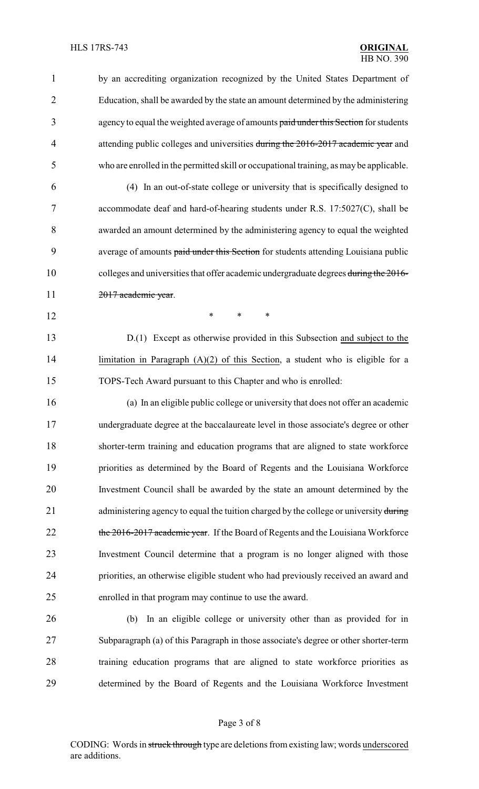by an accrediting organization recognized by the United States Department of Education, shall be awarded by the state an amount determined by the administering 3 agency to equal the weighted average of amounts paid under this Section for students 4 attending public colleges and universities during the 2016-2017 academic year and who are enrolled in the permitted skill or occupational training, as maybe applicable. (4) In an out-of-state college or university that is specifically designed to accommodate deaf and hard-of-hearing students under R.S. 17:5027(C), shall be awarded an amount determined by the administering agency to equal the weighted 9 average of amounts paid under this Section for students attending Louisiana public 10 colleges and universities that offer academic undergraduate degrees during the 2016-11 2017 academic year. **\*** \* \* \* D.(1) Except as otherwise provided in this Subsection and subject to the 14 limitation in Paragraph (A)(2) of this Section, a student who is eligible for a TOPS-Tech Award pursuant to this Chapter and who is enrolled: (a) In an eligible public college or university that does not offer an academic undergraduate degree at the baccalaureate level in those associate's degree or other shorter-term training and education programs that are aligned to state workforce priorities as determined by the Board of Regents and the Louisiana Workforce Investment Council shall be awarded by the state an amount determined by the 21 administering agency to equal the tuition charged by the college or university during 22 the 2016-2017 academic year. If the Board of Regents and the Louisiana Workforce Investment Council determine that a program is no longer aligned with those priorities, an otherwise eligible student who had previously received an award and enrolled in that program may continue to use the award. (b) In an eligible college or university other than as provided for in

 Subparagraph (a) of this Paragraph in those associate's degree or other shorter-term training education programs that are aligned to state workforce priorities as determined by the Board of Regents and the Louisiana Workforce Investment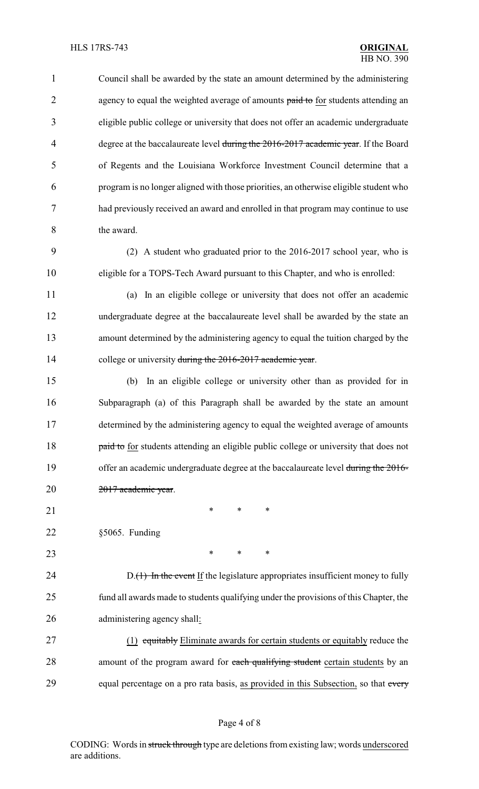Council shall be awarded by the state an amount determined by the administering 2 agency to equal the weighted average of amounts paid to for students attending an eligible public college or university that does not offer an academic undergraduate 4 degree at the baccalaureate level during the 2016-2017 academic year. If the Board of Regents and the Louisiana Workforce Investment Council determine that a program is no longer aligned with those priorities, an otherwise eligible student who had previously received an award and enrolled in that program may continue to use the award.

 (2) A student who graduated prior to the 2016-2017 school year, who is eligible for a TOPS-Tech Award pursuant to this Chapter, and who is enrolled:

(a) In an eligible college or university that does not offer an academic

 undergraduate degree at the baccalaureate level shall be awarded by the state an amount determined by the administering agency to equal the tuition charged by the 14 college or university during the 2016-2017 academic year.

 (b) In an eligible college or university other than as provided for in Subparagraph (a) of this Paragraph shall be awarded by the state an amount determined by the administering agency to equal the weighted average of amounts **paid to for students attending an eligible public college or university that does not** 19 offer an academic undergraduate degree at the baccalaureate level during the 2016-2017 academic year.

- 21 \* \* \* \*
- §5065. Funding
- **\*** \* \* \*

24 D.(1) In the event If the legislature appropriates insufficient money to fully fund all awards made to students qualifying under the provisions of this Chapter, the administering agency shall:

 (1) equitably Eliminate awards for certain students or equitably reduce the 28 amount of the program award for each qualifying student certain students by an 29 equal percentage on a pro rata basis, as provided in this Subsection, so that every

CODING: Words in struck through type are deletions from existing law; words underscored are additions.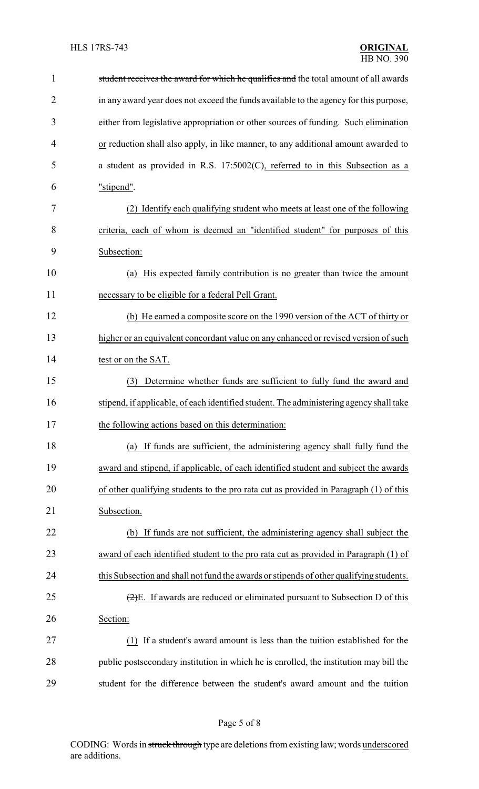| $\mathbf{1}$   | student receives the award for which he qualifies and the total amount of all awards               |
|----------------|----------------------------------------------------------------------------------------------------|
| $\overline{2}$ | in any award year does not exceed the funds available to the agency for this purpose,              |
| 3              | either from legislative appropriation or other sources of funding. Such elimination                |
| 4              | or reduction shall also apply, in like manner, to any additional amount awarded to                 |
| 5              | a student as provided in R.S. 17:5002(C), referred to in this Subsection as a                      |
| 6              | "stipend".                                                                                         |
| 7              | Identify each qualifying student who meets at least one of the following<br>(2)                    |
| 8              | criteria, each of whom is deemed an "identified student" for purposes of this                      |
| 9              | Subsection:                                                                                        |
| 10             | (a) His expected family contribution is no greater than twice the amount                           |
| 11             | necessary to be eligible for a federal Pell Grant.                                                 |
| 12             | (b) He earned a composite score on the 1990 version of the ACT of thirty or                        |
| 13             | higher or an equivalent concordant value on any enhanced or revised version of such                |
| 14             | test or on the SAT.                                                                                |
| 15             | Determine whether funds are sufficient to fully fund the award and<br>(3)                          |
| 16             | stipend, if applicable, of each identified student. The administering agency shall take            |
| 17             | the following actions based on this determination:                                                 |
| 18             | (a) If funds are sufficient, the administering agency shall fully fund the                         |
| 19             | award and stipend, if applicable, of each identified student and subject the awards                |
| 20             | of other qualifying students to the pro rata cut as provided in Paragraph (1) of this              |
| 21             | Subsection.                                                                                        |
| 22             | (b) If funds are not sufficient, the administering agency shall subject the                        |
| 23             | award of each identified student to the pro rata cut as provided in Paragraph (1) of               |
| 24             | this Subsection and shall not fund the awards or stipends of other qualifying students.            |
| 25             | $\left(\frac{2}{2}\right)E$ . If awards are reduced or eliminated pursuant to Subsection D of this |
| 26             | Section:                                                                                           |
| 27             | (1) If a student's award amount is less than the tuition established for the                       |
| 28             | <b>public</b> postsecondary institution in which he is enrolled, the institution may bill the      |
| 29             | student for the difference between the student's award amount and the tuition                      |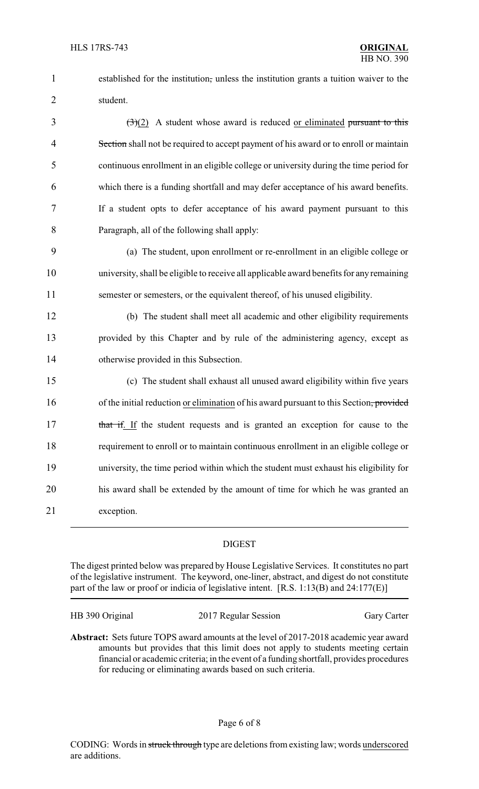1 established for the institution, unless the institution grants a tuition waiver to the 2 student.

 $\left(\frac{3}{2}\right)$  A student whose award is reduced <u>or eliminated pursuant to this</u> 4 Section shall not be required to accept payment of his award or to enroll or maintain continuous enrollment in an eligible college or university during the time period for which there is a funding shortfall and may defer acceptance of his award benefits. If a student opts to defer acceptance of his award payment pursuant to this Paragraph, all of the following shall apply:

9 (a) The student, upon enrollment or re-enrollment in an eligible college or 10 university, shall be eligible to receive all applicable award benefits for anyremaining 11 semester or semesters, or the equivalent thereof, of his unused eligibility.

12 (b) The student shall meet all academic and other eligibility requirements 13 provided by this Chapter and by rule of the administering agency, except as 14 otherwise provided in this Subsection.

 (c) The student shall exhaust all unused award eligibility within five years 16 of the initial reduction or elimination of his award pursuant to this Section, provided 17 that if. If the student requests and is granted an exception for cause to the requirement to enroll or to maintain continuous enrollment in an eligible college or university, the time period within which the student must exhaust his eligibility for his award shall be extended by the amount of time for which he was granted an exception.

### DIGEST

The digest printed below was prepared by House Legislative Services. It constitutes no part of the legislative instrument. The keyword, one-liner, abstract, and digest do not constitute part of the law or proof or indicia of legislative intent. [R.S. 1:13(B) and 24:177(E)]

HB 390 Original 2017 Regular Session Gary Carter

**Abstract:** Sets future TOPS award amounts at the level of 2017-2018 academic year award amounts but provides that this limit does not apply to students meeting certain financial or academic criteria; in the event of a funding shortfall, provides procedures for reducing or eliminating awards based on such criteria.

### Page 6 of 8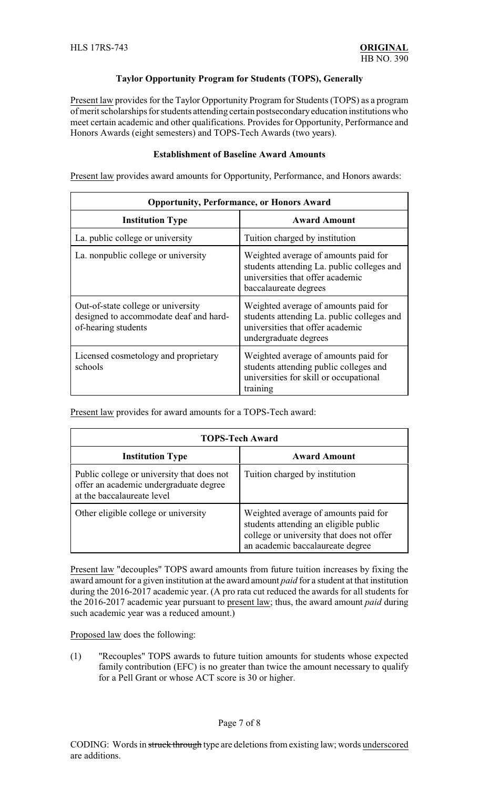## **Taylor Opportunity Program for Students (TOPS), Generally**

Present law provides for the Taylor Opportunity Program for Students (TOPS) as a program of merit scholarships for students attending certain postsecondaryeducation institutions who meet certain academic and other qualifications. Provides for Opportunity, Performance and Honors Awards (eight semesters) and TOPS-Tech Awards (two years).

### **Establishment of Baseline Award Amounts**

Present law provides award amounts for Opportunity, Performance, and Honors awards:

| <b>Opportunity, Performance, or Honors Award</b>                                                    |                                                                                                                                                 |  |  |
|-----------------------------------------------------------------------------------------------------|-------------------------------------------------------------------------------------------------------------------------------------------------|--|--|
| <b>Institution Type</b>                                                                             | <b>Award Amount</b>                                                                                                                             |  |  |
| La. public college or university                                                                    | Tuition charged by institution                                                                                                                  |  |  |
| La. nonpublic college or university                                                                 | Weighted average of amounts paid for<br>students attending La. public colleges and<br>universities that offer academic<br>baccalaureate degrees |  |  |
| Out-of-state college or university<br>designed to accommodate deaf and hard-<br>of-hearing students | Weighted average of amounts paid for<br>students attending La. public colleges and<br>universities that offer academic<br>undergraduate degrees |  |  |
| Licensed cosmetology and proprietary<br>schools                                                     | Weighted average of amounts paid for<br>students attending public colleges and<br>universities for skill or occupational<br>training            |  |  |

Present law provides for award amounts for a TOPS-Tech award:

| <b>TOPS-Tech Award</b>                                                                                             |                                                                                                                                                                |  |  |
|--------------------------------------------------------------------------------------------------------------------|----------------------------------------------------------------------------------------------------------------------------------------------------------------|--|--|
| <b>Institution Type</b>                                                                                            | <b>Award Amount</b>                                                                                                                                            |  |  |
| Public college or university that does not<br>offer an academic undergraduate degree<br>at the baccalaureate level | Tuition charged by institution                                                                                                                                 |  |  |
| Other eligible college or university                                                                               | Weighted average of amounts paid for<br>students attending an eligible public<br>college or university that does not offer<br>an academic baccalaureate degree |  |  |

Present law "decouples" TOPS award amounts from future tuition increases by fixing the award amount for a given institution at the award amount *paid* for a student at that institution during the 2016-2017 academic year. (A pro rata cut reduced the awards for all students for the 2016-2017 academic year pursuant to present law; thus, the award amount *paid* during such academic year was a reduced amount.)

Proposed law does the following:

(1) "Recouples" TOPS awards to future tuition amounts for students whose expected family contribution (EFC) is no greater than twice the amount necessary to qualify for a Pell Grant or whose ACT score is 30 or higher.